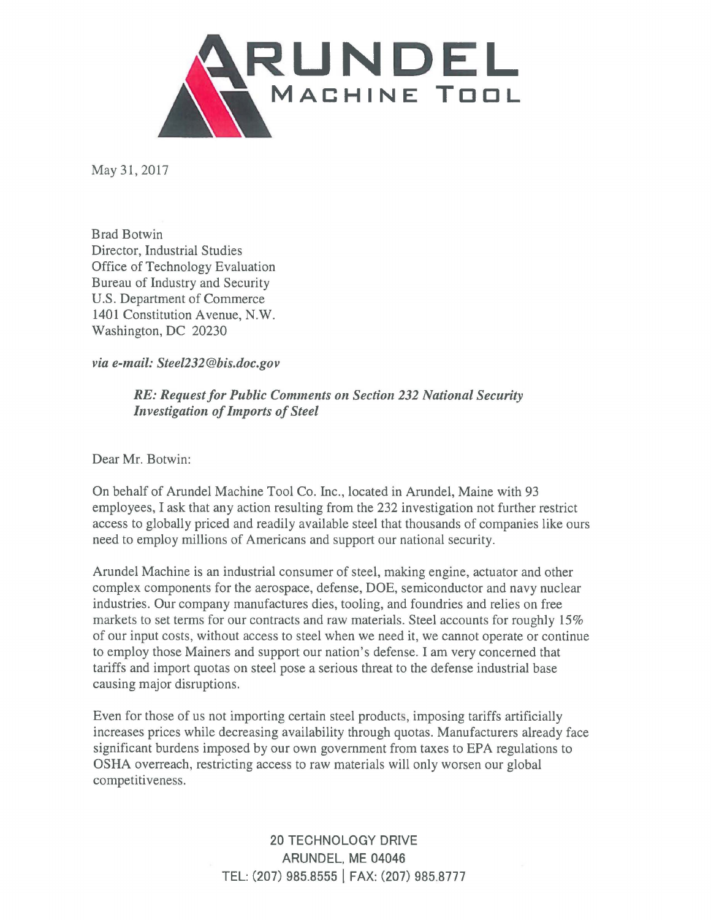

May 31, 2017

Brad Botwin Director, Industrial Studies Office of Technology Evaluation Bureau of Industry and Security U.S. Department of Commerce 1401 Constitution Avenue, **N.W.**  Washington, DC 20230

*via e-mail: Steel232@bis.doc.gov* 

*RE: Request for Public Comments on Section 232 National Security Investigation of Imports of Steel* 

Dear Mr. Botwin:

On behalf of Arundel Machine Tool Co. Inc., located in Arundel, Maine with 93 employees, I ask that any action resulting from the 232 investigation not further restrict access to globally priced and readily available steel that thousands of companies like ours need to employ millions of Americans and support our national security.

Arundel Machine is an industrial consumer of steel, making engine, actuator and other complex components for the aerospace, defense, DOE, semiconductor and navy nuclear industries. Our company manufactures dies, tooling, and foundries and relies on free markets to set terms for our contracts and raw materials. Steel accounts for roughly 15% of our input costs, without access to steel when we need it, we cannot operate or continue to employ those Mainers and support our nation's defense. I am very concerned that tariffs and import quotas on steel pose a serious threat to the defense industrial base causing major disruptions.

Even for those of us not importing certain steel products, imposing tariffs artificially increases prices while decreasing availability through quotas. Manufacturers already face significant burdens imposed by our own government from taxes to EPA regulations to **OSHA** overreach, restricting access to raw materials will only worsen our global competitiveness.

> 20 TECHNOLOGY DRIVE ARUNDEL, ME 04046 TEL: (207) 985.8555 I FAX: (207) 985.8777